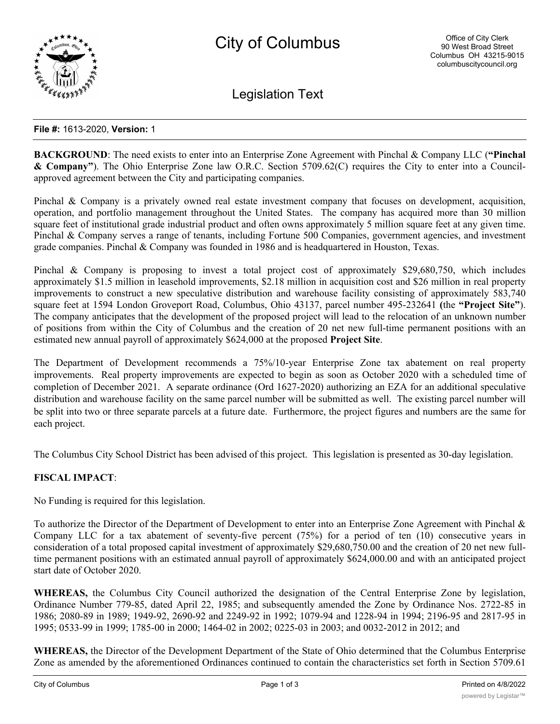

Legislation Text

## **File #:** 1613-2020, **Version:** 1

**BACKGROUND**: The need exists to enter into an Enterprise Zone Agreement with Pinchal & Company LLC (**"Pinchal & Company"**). The Ohio Enterprise Zone law O.R.C. Section 5709.62(C) requires the City to enter into a Councilapproved agreement between the City and participating companies.

Pinchal & Company is a privately owned real estate investment company that focuses on development, acquisition, operation, and portfolio management throughout the United States. The company has acquired more than 30 million square feet of institutional grade industrial product and often owns approximately 5 million square feet at any given time. Pinchal & Company serves a range of tenants, including Fortune 500 Companies, government agencies, and investment grade companies. Pinchal & Company was founded in 1986 and is headquartered in Houston, Texas.

Pinchal & Company is proposing to invest a total project cost of approximately \$29,680,750, which includes approximately \$1.5 million in leasehold improvements, \$2.18 million in acquisition cost and \$26 million in real property improvements to construct a new speculative distribution and warehouse facility consisting of approximately 583,740 square feet at 1594 London Groveport Road, Columbus, Ohio 43137, parcel number 495-232641 **(**the **"Project Site"**). The company anticipates that the development of the proposed project will lead to the relocation of an unknown number of positions from within the City of Columbus and the creation of 20 net new full-time permanent positions with an estimated new annual payroll of approximately \$624,000 at the proposed **Project Site**.

The Department of Development recommends a 75%/10-year Enterprise Zone tax abatement on real property improvements. Real property improvements are expected to begin as soon as October 2020 with a scheduled time of completion of December 2021. A separate ordinance (Ord 1627-2020) authorizing an EZA for an additional speculative distribution and warehouse facility on the same parcel number will be submitted as well. The existing parcel number will be split into two or three separate parcels at a future date. Furthermore, the project figures and numbers are the same for each project.

The Columbus City School District has been advised of this project. This legislation is presented as 30-day legislation.

## **FISCAL IMPACT**:

No Funding is required for this legislation.

To authorize the Director of the Department of Development to enter into an Enterprise Zone Agreement with Pinchal & Company LLC for a tax abatement of seventy-five percent (75%) for a period of ten (10) consecutive years in consideration of a total proposed capital investment of approximately \$29,680,750.00 and the creation of 20 net new fulltime permanent positions with an estimated annual payroll of approximately \$624,000.00 and with an anticipated project start date of October 2020.

**WHEREAS,** the Columbus City Council authorized the designation of the Central Enterprise Zone by legislation, Ordinance Number 779-85, dated April 22, 1985; and subsequently amended the Zone by Ordinance Nos. 2722-85 in 1986; 2080-89 in 1989; 1949-92, 2690-92 and 2249-92 in 1992; 1079-94 and 1228-94 in 1994; 2196-95 and 2817-95 in 1995; 0533-99 in 1999; 1785-00 in 2000; 1464-02 in 2002; 0225-03 in 2003; and 0032-2012 in 2012; and

**WHEREAS,** the Director of the Development Department of the State of Ohio determined that the Columbus Enterprise Zone as amended by the aforementioned Ordinances continued to contain the characteristics set forth in Section 5709.61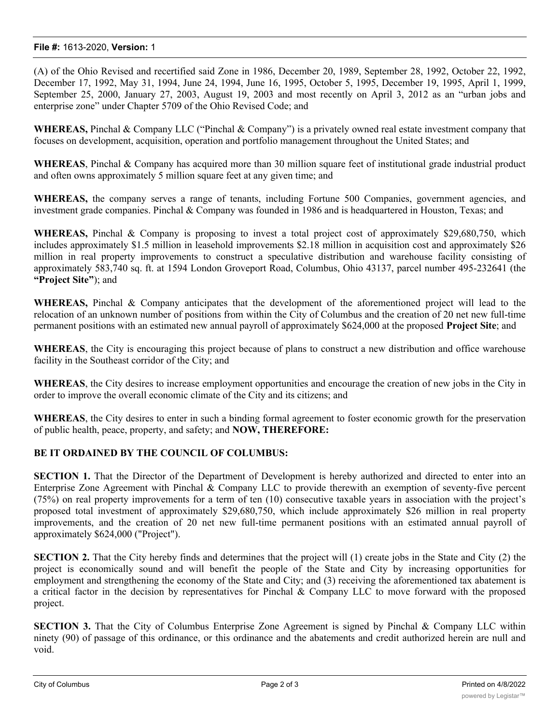## **File #:** 1613-2020, **Version:** 1

(A) of the Ohio Revised and recertified said Zone in 1986, December 20, 1989, September 28, 1992, October 22, 1992, December 17, 1992, May 31, 1994, June 24, 1994, June 16, 1995, October 5, 1995, December 19, 1995, April 1, 1999, September 25, 2000, January 27, 2003, August 19, 2003 and most recently on April 3, 2012 as an "urban jobs and enterprise zone" under Chapter 5709 of the Ohio Revised Code; and

**WHEREAS,** Pinchal & Company LLC ("Pinchal & Company") is a privately owned real estate investment company that focuses on development, acquisition, operation and portfolio management throughout the United States; and

**WHEREAS**, Pinchal & Company has acquired more than 30 million square feet of institutional grade industrial product and often owns approximately 5 million square feet at any given time; and

**WHEREAS,** the company serves a range of tenants, including Fortune 500 Companies, government agencies, and investment grade companies. Pinchal & Company was founded in 1986 and is headquartered in Houston, Texas; and

**WHEREAS,** Pinchal & Company is proposing to invest a total project cost of approximately \$29,680,750, which includes approximately \$1.5 million in leasehold improvements \$2.18 million in acquisition cost and approximately \$26 million in real property improvements to construct a speculative distribution and warehouse facility consisting of approximately 583,740 sq. ft. at 1594 London Groveport Road, Columbus, Ohio 43137, parcel number 495-232641 (the **"Project Site"**); and

**WHEREAS,** Pinchal & Company anticipates that the development of the aforementioned project will lead to the relocation of an unknown number of positions from within the City of Columbus and the creation of 20 net new full-time permanent positions with an estimated new annual payroll of approximately \$624,000 at the proposed **Project Site**; and

**WHEREAS**, the City is encouraging this project because of plans to construct a new distribution and office warehouse facility in the Southeast corridor of the City; and

**WHEREAS**, the City desires to increase employment opportunities and encourage the creation of new jobs in the City in order to improve the overall economic climate of the City and its citizens; and

**WHEREAS**, the City desires to enter in such a binding formal agreement to foster economic growth for the preservation of public health, peace, property, and safety; and **NOW, THEREFORE:**

## **BE IT ORDAINED BY THE COUNCIL OF COLUMBUS:**

**SECTION 1.** That the Director of the Department of Development is hereby authorized and directed to enter into an Enterprise Zone Agreement with Pinchal & Company LLC to provide therewith an exemption of seventy-five percent (75%) on real property improvements for a term of ten (10) consecutive taxable years in association with the project's proposed total investment of approximately \$29,680,750, which include approximately \$26 million in real property improvements, and the creation of 20 net new full-time permanent positions with an estimated annual payroll of approximately \$624,000 ("Project").

**SECTION 2.** That the City hereby finds and determines that the project will (1) create jobs in the State and City (2) the project is economically sound and will benefit the people of the State and City by increasing opportunities for employment and strengthening the economy of the State and City; and (3) receiving the aforementioned tax abatement is a critical factor in the decision by representatives for Pinchal & Company LLC to move forward with the proposed project.

**SECTION** 3. That the City of Columbus Enterprise Zone Agreement is signed by Pinchal & Company LLC within ninety (90) of passage of this ordinance, or this ordinance and the abatements and credit authorized herein are null and void.